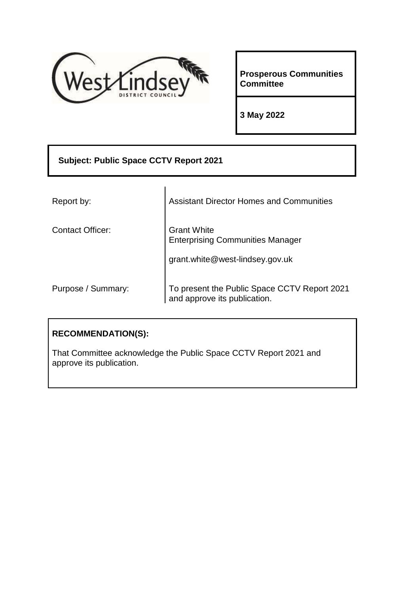

**Prosperous Communities Committee** 

**3 May 2022** 

# **Subject: Public Space CCTV Report 2021** Report by: Assistant Director Homes and Communities Contact Officer: Grant White Enterprising Communities Manager grant.white@west-lindsey.gov.uk Purpose / Summary: To present the Public Space CCTV Report 2021 and approve its publication.

### **RECOMMENDATION(S):**

That Committee acknowledge the Public Space CCTV Report 2021 and approve its publication.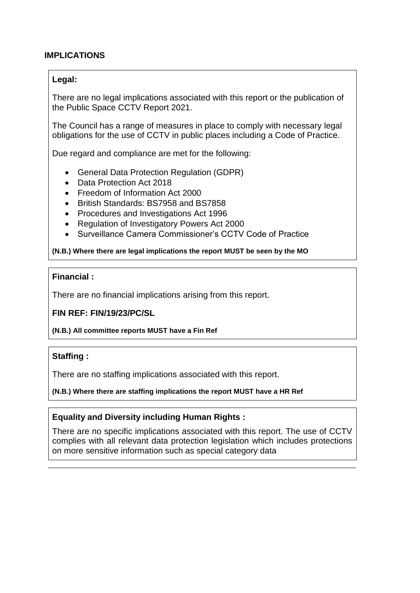#### **IMPLICATIONS**

#### **Legal:**

There are no legal implications associated with this report or the publication of the Public Space CCTV Report 2021.

The Council has a range of measures in place to comply with necessary legal obligations for the use of CCTV in public places including a Code of Practice.

Due regard and compliance are met for the following:

- General Data Protection Regulation (GDPR)
- Data Protection Act 2018
- Freedom of Information Act 2000
- British Standards: BS7958 and BS7858
- Procedures and Investigations Act 1996
- Regulation of Investigatory Powers Act 2000
- Surveillance Camera Commissioner's CCTV Code of Practice

**(N.B.) Where there are legal implications the report MUST be seen by the MO**

#### **Financial :**

There are no financial implications arising from this report.

#### **FIN REF: FIN/19/23/PC/SL**

#### **(N.B.) All committee reports MUST have a Fin Ref**

#### **Staffing :**

There are no staffing implications associated with this report.

#### **(N.B.) Where there are staffing implications the report MUST have a HR Ref**

#### **Equality and Diversity including Human Rights :**

There are no specific implications associated with this report. The use of CCTV complies with all relevant data protection legislation which includes protections on more sensitive information such as special category data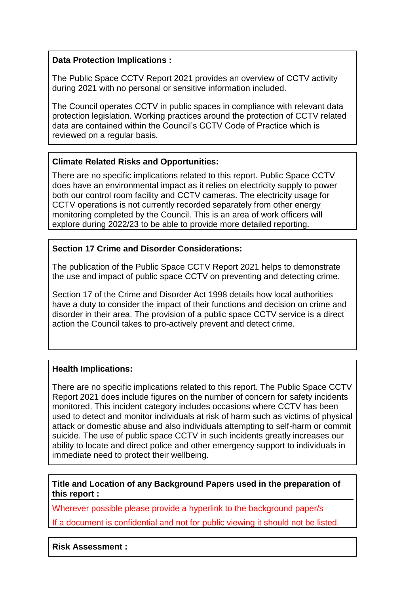#### **Data Protection Implications :**

The Public Space CCTV Report 2021 provides an overview of CCTV activity during 2021 with no personal or sensitive information included.

The Council operates CCTV in public spaces in compliance with relevant data protection legislation. Working practices around the protection of CCTV related data are contained within the Council's CCTV Code of Practice which is reviewed on a regular basis.

#### **Climate Related Risks and Opportunities:**

There are no specific implications related to this report. Public Space CCTV does have an environmental impact as it relies on electricity supply to power both our control room facility and CCTV cameras. The electricity usage for CCTV operations is not currently recorded separately from other energy monitoring completed by the Council. This is an area of work officers will explore during 2022/23 to be able to provide more detailed reporting.

#### **Section 17 Crime and Disorder Considerations:**

The publication of the Public Space CCTV Report 2021 helps to demonstrate the use and impact of public space CCTV on preventing and detecting crime.

Section 17 of the Crime and Disorder Act 1998 details how local authorities have a duty to consider the impact of their functions and decision on crime and disorder in their area. The provision of a public space CCTV service is a direct action the Council takes to pro-actively prevent and detect crime.

#### **Health Implications:**

There are no specific implications related to this report. The Public Space CCTV Report 2021 does include figures on the number of concern for safety incidents monitored. This incident category includes occasions where CCTV has been used to detect and monitor individuals at risk of harm such as victims of physical attack or domestic abuse and also individuals attempting to self-harm or commit suicide. The use of public space CCTV in such incidents greatly increases our ability to locate and direct police and other emergency support to individuals in immediate need to protect their wellbeing.

**Title and Location of any Background Papers used in the preparation of this report :**

Wherever possible please provide a hyperlink to the background paper/s

If a document is confidential and not for public viewing it should not be listed.

**Risk Assessment :**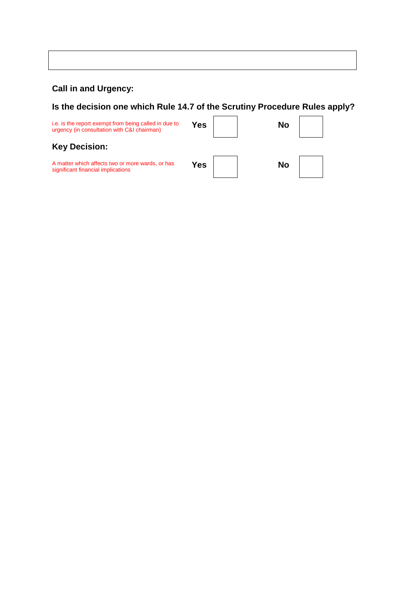# **Call in and Urgency:**

**Is the decision one which Rule 14.7 of the Scrutiny Procedure Rules apply?**

| i.e. is the report exempt from being called in due to<br>urgency (in consultation with C&I chairman) | Yes | No |
|------------------------------------------------------------------------------------------------------|-----|----|
| <b>Key Decision:</b>                                                                                 |     |    |
| A matter which affects two or more wards, or has<br>significant financial implications               | Yes | No |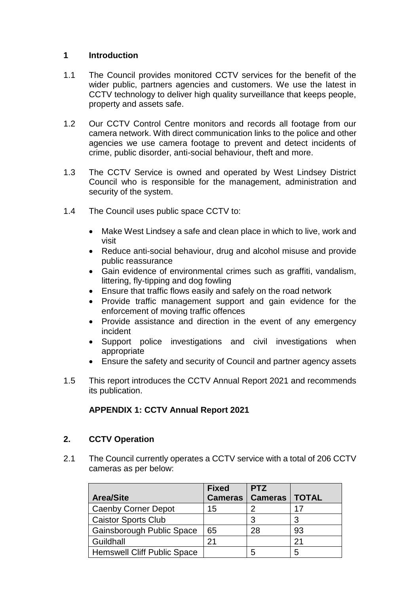#### **1 Introduction**

- 1.1 The Council provides monitored CCTV services for the benefit of the wider public, partners agencies and customers. We use the latest in CCTV technology to deliver high quality surveillance that keeps people, property and assets safe.
- 1.2 Our CCTV Control Centre monitors and records all footage from our camera network. With direct communication links to the police and other agencies we use camera footage to prevent and detect incidents of crime, public disorder, anti-social behaviour, theft and more.
- 1.3 The CCTV Service is owned and operated by West Lindsey District Council who is responsible for the management, administration and security of the system.
- 1.4 The Council uses public space CCTV to:
	- Make West Lindsey a safe and clean place in which to live, work and visit
	- Reduce anti-social behaviour, drug and alcohol misuse and provide public reassurance
	- Gain evidence of environmental crimes such as graffiti, vandalism, littering, fly-tipping and dog fowling
	- Ensure that traffic flows easily and safely on the road network
	- Provide traffic management support and gain evidence for the enforcement of moving traffic offences
	- Provide assistance and direction in the event of any emergency incident
	- Support police investigations and civil investigations when appropriate
	- Ensure the safety and security of Council and partner agency assets
- 1.5 This report introduces the CCTV Annual Report 2021 and recommends its publication.

#### **APPENDIX 1: CCTV Annual Report 2021**

#### **2. CCTV Operation**

2.1 The Council currently operates a CCTV service with a total of 206 CCTV cameras as per below:

| <b>Area/Site</b>                   | <b>Fixed</b><br><b>Cameras</b> | <b>PTZ</b><br><b>Cameras</b> | <b>TOTAL</b> |
|------------------------------------|--------------------------------|------------------------------|--------------|
| <b>Caenby Corner Depot</b>         | 15                             |                              | 17           |
| <b>Caistor Sports Club</b>         |                                | 3                            |              |
| Gainsborough Public Space          | 65                             | 28                           | 93           |
| Guildhall                          | 21                             |                              | 21           |
| <b>Hemswell Cliff Public Space</b> |                                | 5                            | 5            |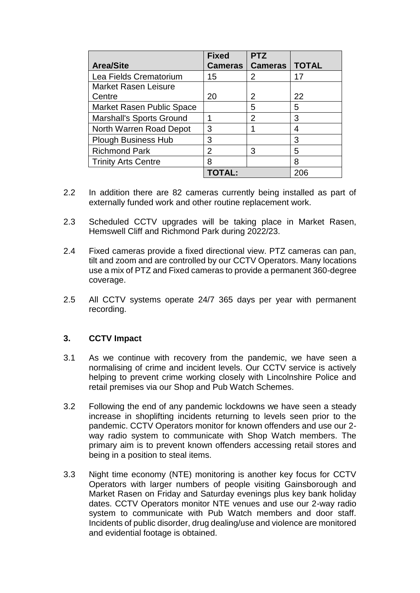|                                 | <b>Fixed</b>   | <b>PTZ</b>     |              |
|---------------------------------|----------------|----------------|--------------|
| <b>Area/Site</b>                | <b>Cameras</b> | <b>Cameras</b> | <b>TOTAL</b> |
| Lea Fields Crematorium          | 15             | $\mathcal{P}$  | 17           |
| <b>Market Rasen Leisure</b>     |                |                |              |
| Centre                          | 20             | 2              | 22           |
| Market Rasen Public Space       |                | 5              | 5            |
| <b>Marshall's Sports Ground</b> |                | 2              | 3            |
| North Warren Road Depot         | 3              |                | 4            |
| <b>Plough Business Hub</b>      | 3              |                | 3            |
| <b>Richmond Park</b>            | 2              | 3              | 5            |
| <b>Trinity Arts Centre</b>      | 8              |                | 8            |
|                                 |                |                | 206          |

- 2.2 In addition there are 82 cameras currently being installed as part of externally funded work and other routine replacement work.
- 2.3 Scheduled CCTV upgrades will be taking place in Market Rasen, Hemswell Cliff and Richmond Park during 2022/23.
- 2.4 Fixed cameras provide a fixed directional view. PTZ cameras can pan, tilt and zoom and are controlled by our CCTV Operators. Many locations use a mix of PTZ and Fixed cameras to provide a permanent 360-degree coverage.
- 2.5 All CCTV systems operate 24/7 365 days per year with permanent recording.

#### **3. CCTV Impact**

- 3.1 As we continue with recovery from the pandemic, we have seen a normalising of crime and incident levels. Our CCTV service is actively helping to prevent crime working closely with Lincolnshire Police and retail premises via our Shop and Pub Watch Schemes.
- 3.2 Following the end of any pandemic lockdowns we have seen a steady increase in shoplifting incidents returning to levels seen prior to the pandemic. CCTV Operators monitor for known offenders and use our 2 way radio system to communicate with Shop Watch members. The primary aim is to prevent known offenders accessing retail stores and being in a position to steal items.
- 3.3 Night time economy (NTE) monitoring is another key focus for CCTV Operators with larger numbers of people visiting Gainsborough and Market Rasen on Friday and Saturday evenings plus key bank holiday dates. CCTV Operators monitor NTE venues and use our 2-way radio system to communicate with Pub Watch members and door staff. Incidents of public disorder, drug dealing/use and violence are monitored and evidential footage is obtained.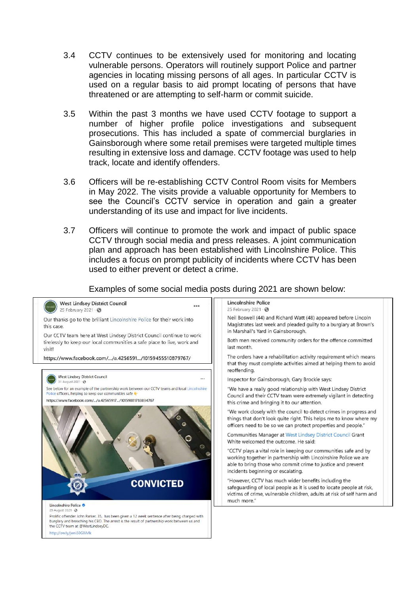- 3.4 CCTV continues to be extensively used for monitoring and locating vulnerable persons. Operators will routinely support Police and partner agencies in locating missing persons of all ages. In particular CCTV is used on a regular basis to aid prompt locating of persons that have threatened or are attempting to self-harm or commit suicide.
- 3.5 Within the past 3 months we have used CCTV footage to support a number of higher profile police investigations and subsequent prosecutions. This has included a spate of commercial burglaries in Gainsborough where some retail premises were targeted multiple times resulting in extensive loss and damage. CCTV footage was used to help track, locate and identify offenders.
- 3.6 Officers will be re-establishing CCTV Control Room visits for Members in May 2022. The visits provide a valuable opportunity for Members to see the Council's CCTV service in operation and gain a greater understanding of its use and impact for live incidents.
- 3.7 Officers will continue to promote the work and impact of public space CCTV through social media and press releases. A joint communication plan and approach has been established with Lincolnshire Police. This includes a focus on prompt publicity of incidents where CCTV has been used to either prevent or detect a crime.

Examples of some social media posts during 2021 are shown below: